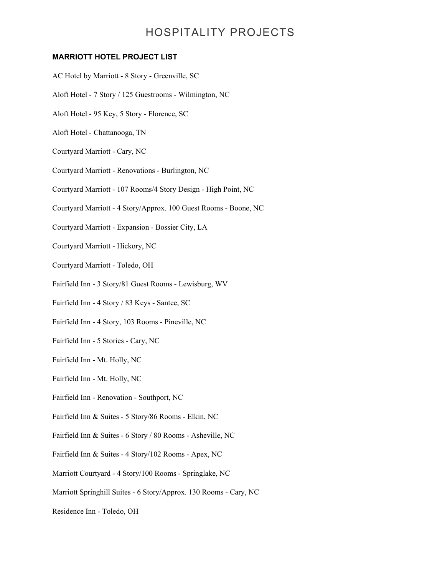### **MARRIOTT HOTEL PROJECT LIST**

- AC Hotel by Marriott 8 Story Greenville, SC Aloft Hotel - 7 Story / 125 Guestrooms - Wilmington, NC Aloft Hotel - 95 Key, 5 Story - Florence, SC Aloft Hotel - Chattanooga, TN Courtyard Marriott - Cary, NC Courtyard Marriott - Renovations - Burlington, NC Courtyard Marriott - 107 Rooms/4 Story Design - High Point, NC Courtyard Marriott - 4 Story/Approx. 100 Guest Rooms - Boone, NC Courtyard Marriott - Expansion - Bossier City, LA Courtyard Marriott - Hickory, NC Courtyard Marriott - Toledo, OH Fairfield Inn - 3 Story/81 Guest Rooms - Lewisburg, WV Fairfield Inn - 4 Story / 83 Keys - Santee, SC Fairfield Inn - 4 Story, 103 Rooms - Pineville, NC Fairfield Inn - 5 Stories - Cary, NC Fairfield Inn - Mt. Holly, NC Fairfield Inn - Mt. Holly, NC Fairfield Inn - Renovation - Southport, NC Fairfield Inn & Suites - 5 Story/86 Rooms - Elkin, NC Fairfield Inn & Suites - 6 Story / 80 Rooms - Asheville, NC Fairfield Inn & Suites - 4 Story/102 Rooms - Apex, NC
- Marriott Courtyard 4 Story/100 Rooms Springlake, NC
- Marriott Springhill Suites 6 Story/Approx. 130 Rooms Cary, NC
- Residence Inn Toledo, OH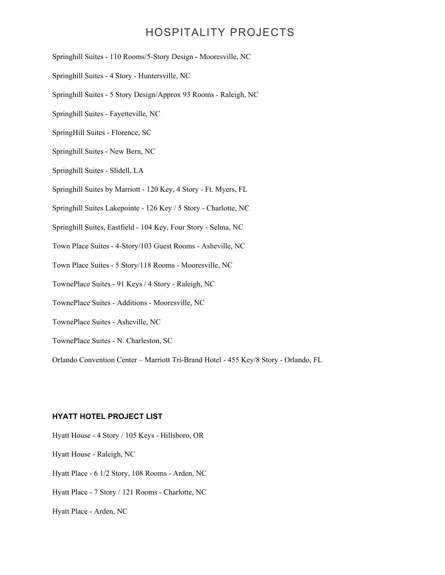Springhill Suites - 110 Rooms/5-Story Design - Mooresville, NC

- Springhill Suites 4 Story Huntersville, NC
- Springhill Suites 5 Story Design/Approx 93 Rooms Raleigh, NC
- Springhill Suites Fayetteville, NC
- SpringHill Suites Florence, SC
- Springhill Suites New Bern, NC
- Springhill Suites Slidell, LA
- Springhill Suites by Marriott 120 Key, 4 Story Ft. Myers, FL
- Springhill Suites Lakepointe 126 Key / 5 Story Charlotte, NC
- Springhill Suites, Eastfield 104 Key, Four Story Selma, NC
- Town Place Suites 4-Story/103 Guest Rooms Asheville, NC
- Town Place Suites 5 Story/118 Rooms Mooresville, NC
- TownePlace Suites 91 Keys / 4 Story Raleigh, NC
- TownePlace Suites Additions Mooresville, NC
- TownePlace Suites Asheville, NC
- TownePlace Suites N. Charleston, SC

Orlando Convention Center – Marriott Tri-Brand Hotel - 455 Key/8 Story - Orlando, FL

#### **HYATT HOTEL PROJECT LIST**

Hyatt House - 4 Story / 105 Keys - Hillsboro, OR

Hyatt House - Raleigh, NC

Hyatt Place - 6 1/2 Story, 108 Rooms - Arden, NC

Hyatt Place - 7 Story / 121 Rooms - Charlotte, NC

Hyatt Place - Arden, NC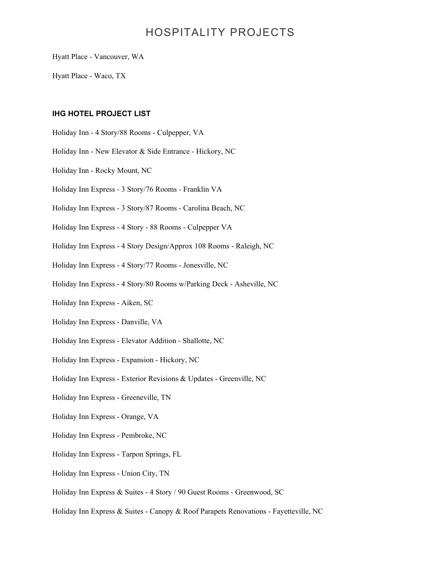Hyatt Place - Vancouver, WA

Hyatt Place - Waco, TX

#### **IHG HOTEL PROJECT LIST**

- Holiday Inn 4 Story/88 Rooms Culpepper, VA
- Holiday Inn New Elevator & Side Entrance Hickory, NC
- Holiday Inn Rocky Mount, NC
- Holiday Inn Express 3 Story/76 Rooms Franklin VA
- Holiday Inn Express 3 Story/87 Rooms Carolina Beach, NC
- Holiday Inn Express 4 Story 88 Rooms Culpepper VA
- Holiday Inn Express 4 Story Design/Approx 108 Rooms Raleigh, NC
- Holiday Inn Express 4 Story/77 Rooms Jonesville, NC
- Holiday Inn Express 4 Story/80 Rooms w/Parking Deck Asheville, NC
- Holiday Inn Express Aiken, SC
- Holiday Inn Express Danville, VA
- Holiday Inn Express Elevator Addition Shallotte, NC
- Holiday Inn Express Expansion Hickory, NC
- Holiday Inn Express Exterior Revisions & Updates Greenville, NC
- Holiday Inn Express Greeneville, TN
- Holiday Inn Express Orange, VA
- Holiday Inn Express Pembroke, NC
- Holiday Inn Express Tarpon Springs, FL
- Holiday Inn Express Union City, TN
- Holiday Inn Express & Suites 4 Story / 90 Guest Rooms Greenwood, SC
- Holiday Inn Express & Suites Canopy & Roof Parapets Renovations Fayetteville, NC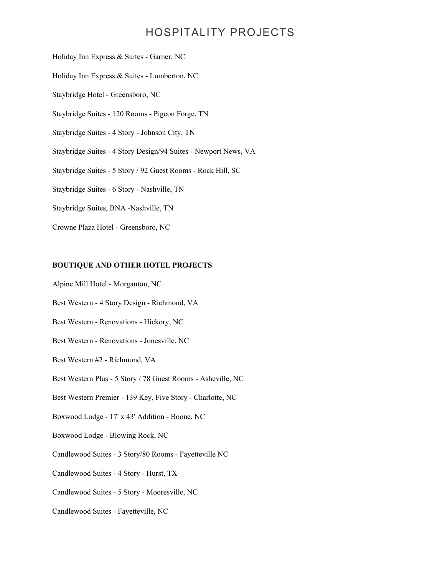Holiday Inn Express & Suites - Garner, NC

Holiday Inn Express & Suites - Lumberton, NC

Staybridge Hotel - Greensboro, NC

Staybridge Suites - 120 Rooms - Pigeon Forge, TN

Staybridge Suites - 4 Story - Johnson City, TN

Staybridge Suites - 4 Story Design/94 Suites - Newport News, VA

Staybridge Suites - 5 Story / 92 Guest Rooms - Rock Hill, SC

Staybridge Suites - 6 Story - Nashville, TN

Staybridge Suites, BNA -Nashville, TN

Crowne Plaza Hotel - Greensboro, NC

#### **BOUTIQUE AND OTHER HOTEL PROJECTS**

Alpine Mill Hotel - Morganton, NC

Best Western - 4 Story Design - Richmond, VA

Best Western - Renovations - Hickory, NC

Best Western - Renovations - Jonesville, NC

Best Western #2 - Richmond, VA

Best Western Plus - 5 Story / 78 Guest Rooms - Asheville, NC

Best Western Premier - 139 Key, Five Story - Charlotte, NC

Boxwood Lodge - 17' x 43' Addition - Boone, NC

Boxwood Lodge - Blowing Rock, NC

Candlewood Suites - 3 Story/80 Rooms - Fayetteville NC

Candlewood Suites - 4 Story - Hurst, TX

Candlewood Suites - 5 Story - Mooresville, NC

Candlewood Suites - Fayetteville, NC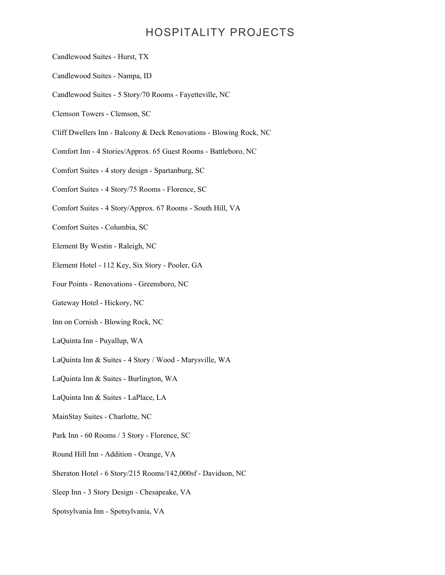- Candlewood Suites Hurst, TX
- Candlewood Suites Nampa, ID
- Candlewood Suites 5 Story/70 Rooms Fayetteville, NC
- Clemson Towers Clemson, SC
- Cliff Dwellers Inn Balcony & Deck Renovations Blowing Rock, NC
- Comfort Inn 4 Stories/Approx. 65 Guest Rooms Battleboro, NC
- Comfort Suites 4 story design Spartanburg, SC
- Comfort Suites 4 Story/75 Rooms Florence, SC
- Comfort Suites 4 Story/Approx. 67 Rooms South Hill, VA
- Comfort Suites Columbia, SC
- Element By Westin Raleigh, NC
- Element Hotel 112 Key, Six Story Pooler, GA
- Four Points Renovations Greensboro, NC
- Gateway Hotel Hickory, NC
- Inn on Cornish Blowing Rock, NC
- LaQuinta Inn Puyallup, WA
- LaQuinta Inn & Suites 4 Story / Wood Marysville, WA
- LaQuinta Inn & Suites Burlington, WA
- LaQuinta Inn & Suites LaPlace, LA
- MainStay Suites Charlotte, NC
- Park Inn 60 Rooms / 3 Story Florence, SC
- Round Hill Inn Addition Orange, VA
- Sheraton Hotel 6 Story/215 Rooms/142,000sf Davidson, NC
- Sleep Inn 3 Story Design Chesapeake, VA
- Spotsylvania Inn Spotsylvania, VA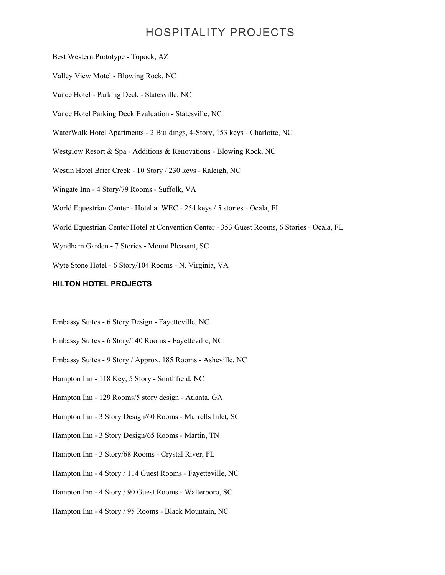Best Western Prototype - Topock, AZ Valley View Motel - Blowing Rock, NC Vance Hotel - Parking Deck - Statesville, NC Vance Hotel Parking Deck Evaluation - Statesville, NC WaterWalk Hotel Apartments - 2 Buildings, 4-Story, 153 keys - Charlotte, NC Westglow Resort & Spa - Additions & Renovations - Blowing Rock, NC Westin Hotel Brier Creek - 10 Story / 230 keys - Raleigh, NC Wingate Inn - 4 Story/79 Rooms - Suffolk, VA World Equestrian Center - Hotel at WEC - 254 keys / 5 stories - Ocala, FL World Equestrian Center Hotel at Convention Center - 353 Guest Rooms, 6 Stories - Ocala, FL Wyndham Garden - 7 Stories - Mount Pleasant, SC Wyte Stone Hotel - 6 Story/104 Rooms - N. Virginia, VA

#### **HILTON HOTEL PROJECTS**

- Embassy Suites 6 Story Design Fayetteville, NC
- Embassy Suites 6 Story/140 Rooms Fayetteville, NC
- Embassy Suites 9 Story / Approx. 185 Rooms Asheville, NC
- Hampton Inn 118 Key, 5 Story Smithfield, NC
- Hampton Inn 129 Rooms/5 story design Atlanta, GA
- Hampton Inn 3 Story Design/60 Rooms Murrells Inlet, SC
- Hampton Inn 3 Story Design/65 Rooms Martin, TN
- Hampton Inn 3 Story/68 Rooms Crystal River, FL
- Hampton Inn 4 Story / 114 Guest Rooms Fayetteville, NC
- Hampton Inn 4 Story / 90 Guest Rooms Walterboro, SC
- Hampton Inn 4 Story / 95 Rooms Black Mountain, NC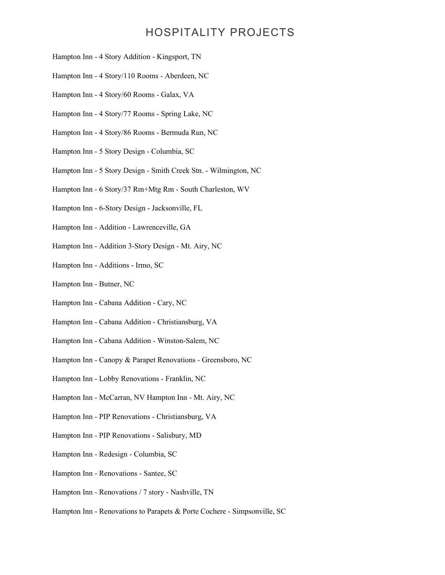- Hampton Inn 4 Story Addition Kingsport, TN
- Hampton Inn 4 Story/110 Rooms Aberdeen, NC
- Hampton Inn 4 Story/60 Rooms Galax, VA
- Hampton Inn 4 Story/77 Rooms Spring Lake, NC
- Hampton Inn 4 Story/86 Rooms Bermuda Run, NC
- Hampton Inn 5 Story Design Columbia, SC
- Hampton Inn 5 Story Design Smith Creek Stn. Wilmington, NC
- Hampton Inn 6 Story/37 Rm+Mtg Rm South Charleston, WV
- Hampton Inn 6-Story Design Jacksonville, FL
- Hampton Inn Addition Lawrenceville, GA
- Hampton Inn Addition 3-Story Design Mt. Airy, NC
- Hampton Inn Additions Irmo, SC
- Hampton Inn Butner, NC
- Hampton Inn Cabana Addition Cary, NC
- Hampton Inn Cabana Addition Christiansburg, VA
- Hampton Inn Cabana Addition Winston-Salem, NC
- Hampton Inn Canopy & Parapet Renovations Greensboro, NC
- Hampton Inn Lobby Renovations Franklin, NC
- Hampton Inn McCarran, NV Hampton Inn Mt. Airy, NC
- Hampton Inn PIP Renovations Christiansburg, VA
- Hampton Inn PIP Renovations Salisbury, MD
- Hampton Inn Redesign Columbia, SC
- Hampton Inn Renovations Santee, SC
- Hampton Inn Renovations / 7 story Nashville, TN
- Hampton Inn Renovations to Parapets & Porte Cochere Simpsonville, SC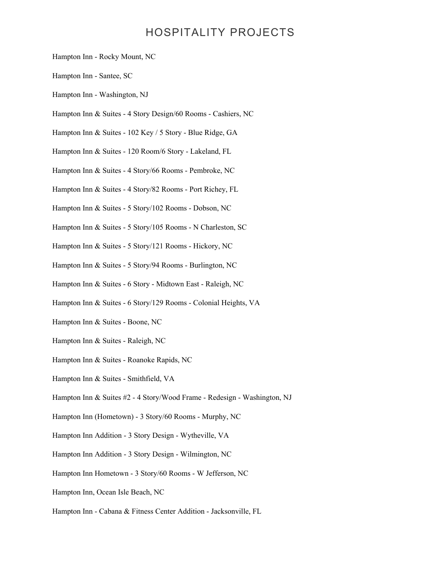- Hampton Inn Rocky Mount, NC
- Hampton Inn Santee, SC
- Hampton Inn Washington, NJ
- Hampton Inn & Suites 4 Story Design/60 Rooms Cashiers, NC
- Hampton Inn & Suites 102 Key / 5 Story Blue Ridge, GA
- Hampton Inn & Suites 120 Room/6 Story Lakeland, FL
- Hampton Inn & Suites 4 Story/66 Rooms Pembroke, NC
- Hampton Inn & Suites 4 Story/82 Rooms Port Richey, FL
- Hampton Inn & Suites 5 Story/102 Rooms Dobson, NC
- Hampton Inn & Suites 5 Story/105 Rooms N Charleston, SC
- Hampton Inn & Suites 5 Story/121 Rooms Hickory, NC
- Hampton Inn & Suites 5 Story/94 Rooms Burlington, NC
- Hampton Inn & Suites 6 Story Midtown East Raleigh, NC
- Hampton Inn & Suites 6 Story/129 Rooms Colonial Heights, VA
- Hampton Inn & Suites Boone, NC
- Hampton Inn & Suites Raleigh, NC
- Hampton Inn & Suites Roanoke Rapids, NC
- Hampton Inn & Suites Smithfield, VA
- Hampton Inn & Suites #2 4 Story/Wood Frame Redesign Washington, NJ
- Hampton Inn (Hometown) 3 Story/60 Rooms Murphy, NC
- Hampton Inn Addition 3 Story Design Wytheville, VA
- Hampton Inn Addition 3 Story Design Wilmington, NC
- Hampton Inn Hometown 3 Story/60 Rooms W Jefferson, NC
- Hampton Inn, Ocean Isle Beach, NC
- Hampton Inn Cabana & Fitness Center Addition Jacksonville, FL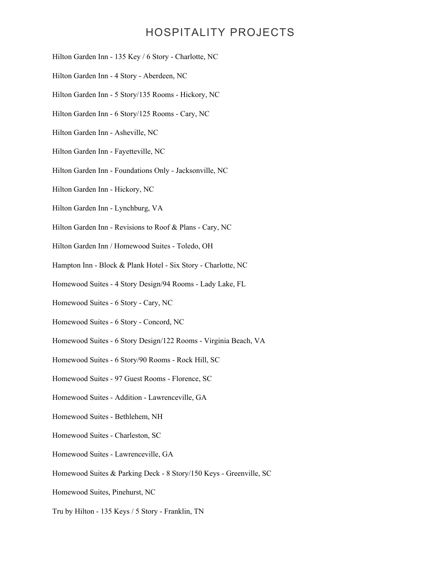- Hilton Garden Inn 135 Key / 6 Story Charlotte, NC
- Hilton Garden Inn 4 Story Aberdeen, NC
- Hilton Garden Inn 5 Story/135 Rooms Hickory, NC
- Hilton Garden Inn 6 Story/125 Rooms Cary, NC
- Hilton Garden Inn Asheville, NC
- Hilton Garden Inn Fayetteville, NC
- Hilton Garden Inn Foundations Only Jacksonville, NC
- Hilton Garden Inn Hickory, NC
- Hilton Garden Inn Lynchburg, VA
- Hilton Garden Inn Revisions to Roof & Plans Cary, NC
- Hilton Garden Inn / Homewood Suites Toledo, OH
- Hampton Inn Block & Plank Hotel Six Story Charlotte, NC
- Homewood Suites 4 Story Design/94 Rooms Lady Lake, FL
- Homewood Suites 6 Story Cary, NC
- Homewood Suites 6 Story Concord, NC
- Homewood Suites 6 Story Design/122 Rooms Virginia Beach, VA
- Homewood Suites 6 Story/90 Rooms Rock Hill, SC
- Homewood Suites 97 Guest Rooms Florence, SC
- Homewood Suites Addition Lawrenceville, GA
- Homewood Suites Bethlehem, NH
- Homewood Suites Charleston, SC
- Homewood Suites Lawrenceville, GA
- Homewood Suites & Parking Deck 8 Story/150 Keys Greenville, SC
- Homewood Suites, Pinehurst, NC
- Tru by Hilton 135 Keys / 5 Story Franklin, TN